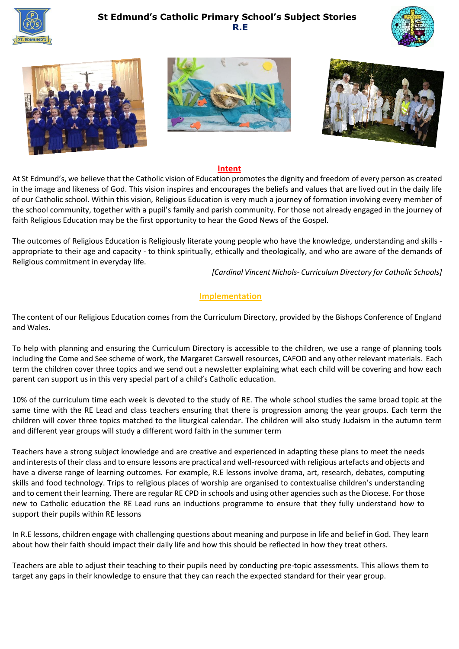









#### **Intent**

At St Edmund's, we believe that the Catholic vision of Education promotes the dignity and freedom of every person as created in the image and likeness of God. This vision inspires and encourages the beliefs and values that are lived out in the daily life of our Catholic school. Within this vision, Religious Education is very much a journey of formation involving every member of the school community, together with a pupil's family and parish community. For those not already engaged in the journey of faith Religious Education may be the first opportunity to hear the Good News of the Gospel.

The outcomes of Religious Education is Religiously literate young people who have the knowledge, understanding and skills appropriate to their age and capacity - to think spiritually, ethically and theologically, and who are aware of the demands of Religious commitment in everyday life.

 *[Cardinal Vincent Nichols- Curriculum Directory for Catholic Schools]*

### **Implementation**

The content of our Religious Education comes from the Curriculum Directory, provided by the Bishops Conference of England and Wales.

To help with planning and ensuring the Curriculum Directory is accessible to the children, we use a range of planning tools including the Come and See scheme of work, the Margaret Carswell resources, CAFOD and any other relevant materials. Each term the children cover three topics and we send out a newsletter explaining what each child will be covering and how each parent can support us in this very special part of a child's Catholic education.

10% of the curriculum time each week is devoted to the study of RE. The whole school studies the same broad topic at the same time with the RE Lead and class teachers ensuring that there is progression among the year groups. Each term the children will cover three topics matched to the liturgical calendar. The children will also study Judaism in the autumn term and different year groups will study a different word faith in the summer term

Teachers have a strong subject knowledge and are creative and experienced in adapting these plans to meet the needs and interests of their class and to ensure lessons are practical and well-resourced with religious artefacts and objects and have a diverse range of learning outcomes. For example, R.E lessons involve drama, art, research, debates, computing skills and food technology. Trips to religious places of worship are organised to contextualise children's understanding and to cement their learning. There are regular RE CPD in schools and using other agencies such as the Diocese. For those new to Catholic education the RE Lead runs an inductions programme to ensure that they fully understand how to support their pupils within RE lessons

In R.E lessons, children engage with challenging questions about meaning and purpose in life and belief in God. They learn about how their faith should impact their daily life and how this should be reflected in how they treat others.

Teachers are able to adjust their teaching to their pupils need by conducting pre-topic assessments. This allows them to target any gaps in their knowledge to ensure that they can reach the expected standard for their year group.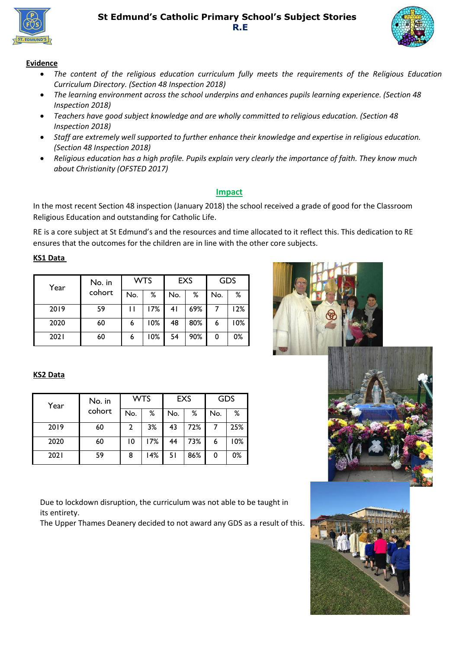



### **Evidence**

- *The content of the religious education curriculum fully meets the requirements of the Religious Education Curriculum Directory. (Section 48 Inspection 2018)*
- *The learning environment across the school underpins and enhances pupils learning experience. (Section 48 Inspection 2018)*
- *Teachers have good subject knowledge and are wholly committed to religious education. (Section 48 Inspection 2018)*
- *Staff are extremely well supported to further enhance their knowledge and expertise in religious education. (Section 48 Inspection 2018)*
- *Religious education has a high profile. Pupils explain very clearly the importance of faith. They know much about Christianity (OFSTED 2017)*

### **Impact**

In the most recent Section 48 inspection (January 2018) the school received a grade of good for the Classroom Religious Education and outstanding for Catholic Life.

RE is a core subject at St Edmund's and the resources and time allocated to it reflect this. This dedication to RE ensures that the outcomes for the children are in line with the other core subjects.

#### **KS1 Data**

| Year | No. in | <b>WTS</b> |     | <b>EXS</b> |     | <b>GDS</b> |     |
|------|--------|------------|-----|------------|-----|------------|-----|
|      | cohort | No.        | ℅   | No.        | ℅   | No.        | %   |
| 2019 | 59     |            | 17% | 41         | 69% |            | 12% |
| 2020 | 60     | 6          | 10% | 48         | 80% | 6          | 10% |
| 2021 | 60     | 6          | 10% | 54         | 90% | 0          | 0%  |



### **KS2 Data**

| Year | No. in | <b>WTS</b> |     | <b>EXS</b> |     | <b>GDS</b> |     |
|------|--------|------------|-----|------------|-----|------------|-----|
|      | cohort | No.        | ℅   | No.        | ℅   | No.        | ℅   |
| 2019 | 60     | 2          | 3%  | 43         | 72% |            | 25% |
| 2020 | 60     | 10         | 17% | 44         | 73% | 6          | 10% |
| 2021 | 59     | 8          | 14% | -51        | 86% | 0          | 0%  |

Due to lockdown disruption, the curriculum was not able to be taught in its entirety.

The Upper Thames Deanery decided to not award any GDS as a result of this.



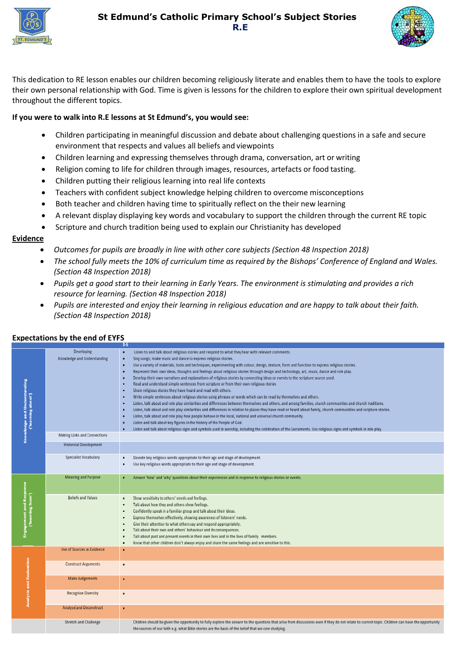



This dedication to RE lesson enables our children becoming religiously literate and enables them to have the tools to explore their own personal relationship with God. Time is given is lessons for the children to explore their own spiritual development throughout the different topics.

### **If you were to walk into R.E lessons at St Edmund's, you would see:**

- Children participating in meaningful discussion and debate about challenging questions in a safe and secure environment that respects and values all beliefs and viewpoints
- Children learning and expressing themselves through drama, conversation, art or writing
- Religion coming to life for children through images, resources, artefacts or food tasting.
- Children putting their religious learning into real life contexts
- Teachers with confident subject knowledge helping children to overcome misconceptions
- Both teacher and children having time to spiritually reflect on the their new learning
- A relevant display displaying key words and vocabulary to support the children through the current RE topic
- Scripture and church tradition being used to explain our Christianity has developed

#### **Evidence**

- *Outcomes for pupils are broadly in line with other core subjects (Section 48 Inspection 2018)*
- *The school fully meets the 10% of curriculum time as required by the Bishops' Conference of England and Wales. (Section 48 Inspection 2018)*
- *Pupils get a good start to their learning in Early Years. The environment is stimulating and provides a rich resource for learning. (Section 48 Inspection 2018)*
- *Pupils are interested and enjoy their learning in religious education and are happy to talk about their faith. (Section 48 Inspection 2018)*

|                                                          |                                                  | 3-5                                                                                                                                                                                                                                                                                                                                                                                                                                                                                                                                                                                                                                                                                                                                                                                                                                                                                                                                                                                                                                                                                                                                                                                                                                                                                                                                                                                                                                                                                                                                                                                                                     |
|----------------------------------------------------------|--------------------------------------------------|-------------------------------------------------------------------------------------------------------------------------------------------------------------------------------------------------------------------------------------------------------------------------------------------------------------------------------------------------------------------------------------------------------------------------------------------------------------------------------------------------------------------------------------------------------------------------------------------------------------------------------------------------------------------------------------------------------------------------------------------------------------------------------------------------------------------------------------------------------------------------------------------------------------------------------------------------------------------------------------------------------------------------------------------------------------------------------------------------------------------------------------------------------------------------------------------------------------------------------------------------------------------------------------------------------------------------------------------------------------------------------------------------------------------------------------------------------------------------------------------------------------------------------------------------------------------------------------------------------------------------|
| <b>Knowledge and Understanding</b><br>('learning about') | <b>Developing</b><br>Knowledge and Understanding | ٠<br>Listen to and talk about religious stories and respond to what they hear with relevant comments.<br>Sing songs; make music and dance to express religious stories.<br>٠<br>Use a variety of materials, tools and techniques, experimenting with colour, design, texture, form and function to express religious stories.<br>٠<br>Represent their own ideas, thoughts and feelings about religious stories through design and technology, art, music, dance and role play.<br>٠<br>Develop their own narratives and explanations of religious stories by connecting ideas or events to the scripture source used.<br>Read and understand simple sentences from scripture or from their own religious stories<br>٠<br>Share religious stories they have heard and read with others.<br>Write simple sentences about religious stories using phrases or words which can be read by themselves and others.<br>٠<br>Listen, talk about and role play similarities and differences between themselves and others, and among families, church communities and church traditions.<br>٠<br>Listen, talk about and role play similarities and differences in relation to places they have read or heard about family, church communities and scripture stories.<br>Listen, talk about and role play how people behave in the local, national and universal church community.<br>٠<br>Listen and talk about key figures in the history of the People of God.<br>Listen and talk about religious signs and symbols used in worship, including the celebration of the Sacraments. Use religious signs and symbols in role play. |
|                                                          | Making Links and Connections                     |                                                                                                                                                                                                                                                                                                                                                                                                                                                                                                                                                                                                                                                                                                                                                                                                                                                                                                                                                                                                                                                                                                                                                                                                                                                                                                                                                                                                                                                                                                                                                                                                                         |
|                                                          | <b>Historical Development</b>                    |                                                                                                                                                                                                                                                                                                                                                                                                                                                                                                                                                                                                                                                                                                                                                                                                                                                                                                                                                                                                                                                                                                                                                                                                                                                                                                                                                                                                                                                                                                                                                                                                                         |
|                                                          | Specialist Vocabulary                            | Decode key religious words appropriate to their age and stage of development.<br>٠<br>Use key religious words appropriate to their age and stage of development.<br>٠                                                                                                                                                                                                                                                                                                                                                                                                                                                                                                                                                                                                                                                                                                                                                                                                                                                                                                                                                                                                                                                                                                                                                                                                                                                                                                                                                                                                                                                   |
|                                                          | Meaning and Purpose                              | Answer 'how' and 'why' questions about their experiences and in response to religious stories or events.<br>٠                                                                                                                                                                                                                                                                                                                                                                                                                                                                                                                                                                                                                                                                                                                                                                                                                                                                                                                                                                                                                                                                                                                                                                                                                                                                                                                                                                                                                                                                                                           |
| Engagement and Response<br>("learning from")             | Beliefs and Values                               | Show sensitivity to others' needs and feelings.<br>Talk about how they and others show feelings.<br>Confidently speak in a familiar group and talk about their ideas.<br>٠<br>Express themselves effectively, showing awareness of listeners' needs.<br>٠<br>Give their attention to what others say and respond appropriately.<br>٠<br>Talk about their own and others' behaviour and its consequences.<br>Talk about past and present events in their own lives and in the lives of family members.<br>٠<br>Know that other children don't always enjoy and share the same feelings and are sensitive to this.<br>$\bullet$                                                                                                                                                                                                                                                                                                                                                                                                                                                                                                                                                                                                                                                                                                                                                                                                                                                                                                                                                                                           |
|                                                          | Use of Sources as Evidence                       | $\bullet$                                                                                                                                                                                                                                                                                                                                                                                                                                                                                                                                                                                                                                                                                                                                                                                                                                                                                                                                                                                                                                                                                                                                                                                                                                                                                                                                                                                                                                                                                                                                                                                                               |
|                                                          | <b>Construct Arguments</b>                       | ٠                                                                                                                                                                                                                                                                                                                                                                                                                                                                                                                                                                                                                                                                                                                                                                                                                                                                                                                                                                                                                                                                                                                                                                                                                                                                                                                                                                                                                                                                                                                                                                                                                       |
|                                                          | <b>Make Judgements</b>                           | ٠                                                                                                                                                                                                                                                                                                                                                                                                                                                                                                                                                                                                                                                                                                                                                                                                                                                                                                                                                                                                                                                                                                                                                                                                                                                                                                                                                                                                                                                                                                                                                                                                                       |
| <b>Analysis and Evaluation</b>                           | <b>Recognise Diversity</b>                       | $\bullet$                                                                                                                                                                                                                                                                                                                                                                                                                                                                                                                                                                                                                                                                                                                                                                                                                                                                                                                                                                                                                                                                                                                                                                                                                                                                                                                                                                                                                                                                                                                                                                                                               |
|                                                          | Analyse and Deconstruct                          | ٠                                                                                                                                                                                                                                                                                                                                                                                                                                                                                                                                                                                                                                                                                                                                                                                                                                                                                                                                                                                                                                                                                                                                                                                                                                                                                                                                                                                                                                                                                                                                                                                                                       |
|                                                          | Stretch and Challenge                            | Children should be given the opportunity to fully explore the answer to the questions that arise from discussions even if they do not relate to current topic. Children can have the opportunity<br>the sources of our faith e.g. what Bible stories are the basis of the belief that we care studying.                                                                                                                                                                                                                                                                                                                                                                                                                                                                                                                                                                                                                                                                                                                                                                                                                                                                                                                                                                                                                                                                                                                                                                                                                                                                                                                 |

#### **Expectations by the end of EYFS**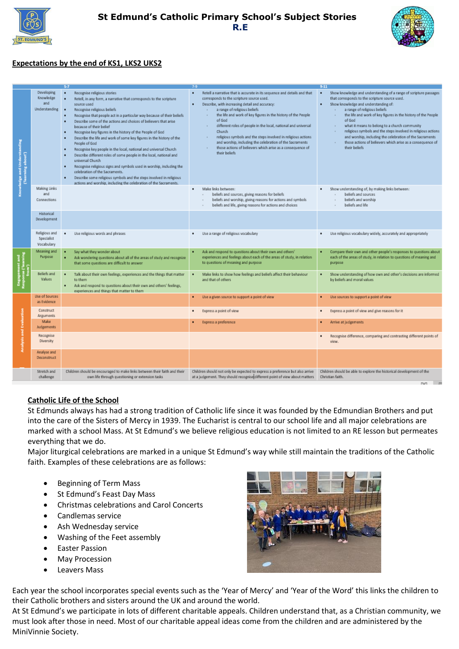



## **Expectations by the end of KS1, LKS2 UKS2**

| Knowledge and Understanding<br>ning about<br>est. | Developing<br>Knowledge<br>and<br>Understanding | Recognise religious stories<br>٠<br>Retell, in any form, a narrative that corresponds to the scripture<br>source used<br>Recognise religious beliefs<br>٠<br>Recognise that people act in a particular way because of their beliefs<br>٠<br>Describe some of the actions and choices of believers that arise<br>٠<br>because of their belief<br>Recognise key figures in the history of the People of God<br>٠<br>Describe the life and work of some key figures in the history of the<br>٠<br>People of God<br>Recognise key people in the local, national and universal Church<br>٠<br>Describe different roles of some people in the local, national and<br>universal Church<br>Recognise religious signs and symbols used in worship, including the<br>٠<br>celebration of the Sacraments.<br>Describe some religious symbols and the steps involved in religious<br>٠<br>actions and worship, including the celebration of the Sacraments. | Retell a narrative that is accurate in its sequence and details and that<br>٠<br>corresponds to the scripture source used.<br>Describe, with increasing detail and accuracy:<br>٠<br>a range of religious beliefs<br>the life and work of key figures in the history of the People<br>af God<br>different roles of people in the local, national and universal<br>Church<br>religious symbols and the steps involved in religious actions<br>and worship, including the celebration of the Sacraments<br>those actions of believers which arise as a consequence of<br>their beliefs. | Show knowledge and understanding of a range of scripture passages<br>that corresponds to the scripture source used.<br>Show knowledge and understanding of:<br>٠<br>a range of religious beliefs<br>the life and work of key figures in the history of the People<br>af God<br>what it means to belong to a church community<br>religious symbols and the steps involved in religious actions<br>and worship, including the celebration of the Sacraments<br>those actions of believers which arise as a consequence of<br>$\mathbf{r}$<br>their beliefs |
|---------------------------------------------------|-------------------------------------------------|-------------------------------------------------------------------------------------------------------------------------------------------------------------------------------------------------------------------------------------------------------------------------------------------------------------------------------------------------------------------------------------------------------------------------------------------------------------------------------------------------------------------------------------------------------------------------------------------------------------------------------------------------------------------------------------------------------------------------------------------------------------------------------------------------------------------------------------------------------------------------------------------------------------------------------------------------|---------------------------------------------------------------------------------------------------------------------------------------------------------------------------------------------------------------------------------------------------------------------------------------------------------------------------------------------------------------------------------------------------------------------------------------------------------------------------------------------------------------------------------------------------------------------------------------|----------------------------------------------------------------------------------------------------------------------------------------------------------------------------------------------------------------------------------------------------------------------------------------------------------------------------------------------------------------------------------------------------------------------------------------------------------------------------------------------------------------------------------------------------------|
|                                                   | Making Links<br>and<br>Connections              |                                                                                                                                                                                                                                                                                                                                                                                                                                                                                                                                                                                                                                                                                                                                                                                                                                                                                                                                                 | Make links between:<br>٠<br>beliefs and sources, giving reasons for beliefs<br>beliefs and worship, giving reasons for actions and symbols<br>beliefs and life, giving reasons for actions and choices                                                                                                                                                                                                                                                                                                                                                                                | Show understanding of, by making links between:<br>$\bullet$<br>beliefs and sources<br>beliefs and worship<br>beliefs and life                                                                                                                                                                                                                                                                                                                                                                                                                           |
|                                                   | Historical<br>Development                       |                                                                                                                                                                                                                                                                                                                                                                                                                                                                                                                                                                                                                                                                                                                                                                                                                                                                                                                                                 |                                                                                                                                                                                                                                                                                                                                                                                                                                                                                                                                                                                       |                                                                                                                                                                                                                                                                                                                                                                                                                                                                                                                                                          |
|                                                   | Religious and<br>Specialist<br>Vocabulary       | Use religious words and phrases                                                                                                                                                                                                                                                                                                                                                                                                                                                                                                                                                                                                                                                                                                                                                                                                                                                                                                                 | Use a range of religious vocabulary<br>٠                                                                                                                                                                                                                                                                                                                                                                                                                                                                                                                                              | Use religious vocabulary widely, accurately and appropriately<br>٠                                                                                                                                                                                                                                                                                                                                                                                                                                                                                       |
| ement and<br>se ('learning<br>rom')               | Meaning and<br>Purpose                          | Say what they wonder about<br>٠<br>Ask wondering questions about all of the areas of study and recognize<br>that some questions are difficult to answer                                                                                                                                                                                                                                                                                                                                                                                                                                                                                                                                                                                                                                                                                                                                                                                         | Ask and respond to questions about their own and others'<br>experiences and feelings about each of the areas of study, in relation<br>to questions of meaning and purpose                                                                                                                                                                                                                                                                                                                                                                                                             | Compare their own and other people's responses to questions about<br>each of the areas of study, in relation to questions of meaning and<br>purpose                                                                                                                                                                                                                                                                                                                                                                                                      |
|                                                   | Beliefs and<br>Values                           | Talk about their own feelings, experiences and the things that matter<br>to them<br>Ask and respond to questions about their own and others' feelings,<br>٠<br>experiences and things that matter to them                                                                                                                                                                                                                                                                                                                                                                                                                                                                                                                                                                                                                                                                                                                                       | Make links to show how feelings and beliefs affect their behaviour<br>and that of others.                                                                                                                                                                                                                                                                                                                                                                                                                                                                                             | Show understanding of how own and other's decisions are informed<br>by beliefs and moral values                                                                                                                                                                                                                                                                                                                                                                                                                                                          |
|                                                   | <b>Use of Sources</b><br>as Evidence            |                                                                                                                                                                                                                                                                                                                                                                                                                                                                                                                                                                                                                                                                                                                                                                                                                                                                                                                                                 | Use a given source to support a point of view<br>٠                                                                                                                                                                                                                                                                                                                                                                                                                                                                                                                                    | Use sources to support a point of view<br>$\bullet$                                                                                                                                                                                                                                                                                                                                                                                                                                                                                                      |
| Analysis and Evaluation                           | Construct<br>Arguments                          |                                                                                                                                                                                                                                                                                                                                                                                                                                                                                                                                                                                                                                                                                                                                                                                                                                                                                                                                                 | Express a point of view<br>٠                                                                                                                                                                                                                                                                                                                                                                                                                                                                                                                                                          | Express a point of view and give reasons for it<br>$\bullet$                                                                                                                                                                                                                                                                                                                                                                                                                                                                                             |
|                                                   | Make<br>Judgements                              |                                                                                                                                                                                                                                                                                                                                                                                                                                                                                                                                                                                                                                                                                                                                                                                                                                                                                                                                                 | Express a preference<br>$\bullet$                                                                                                                                                                                                                                                                                                                                                                                                                                                                                                                                                     | Arrive at judgements                                                                                                                                                                                                                                                                                                                                                                                                                                                                                                                                     |
|                                                   | Recognise<br>Diversity                          |                                                                                                                                                                                                                                                                                                                                                                                                                                                                                                                                                                                                                                                                                                                                                                                                                                                                                                                                                 |                                                                                                                                                                                                                                                                                                                                                                                                                                                                                                                                                                                       | Recognise difference, comparing and contrasting different points of<br>$\bullet$<br>view.                                                                                                                                                                                                                                                                                                                                                                                                                                                                |
|                                                   | Analyse and<br>Deconstruct                      |                                                                                                                                                                                                                                                                                                                                                                                                                                                                                                                                                                                                                                                                                                                                                                                                                                                                                                                                                 |                                                                                                                                                                                                                                                                                                                                                                                                                                                                                                                                                                                       |                                                                                                                                                                                                                                                                                                                                                                                                                                                                                                                                                          |
|                                                   | Stretch and<br>challenge                        | Children should be encouraged to make links between their faith and their<br>own life through questioning or extension tasks                                                                                                                                                                                                                                                                                                                                                                                                                                                                                                                                                                                                                                                                                                                                                                                                                    | Children should not only be expected to express a preference but also arrive<br>at a judgement. They should recognise different point of view about matters                                                                                                                                                                                                                                                                                                                                                                                                                           | Children should be able to explore the historical development of the<br>Christian faith.                                                                                                                                                                                                                                                                                                                                                                                                                                                                 |

### **Catholic Life of the School**

St Edmunds always has had a strong tradition of Catholic life since it was founded by the Edmundian Brothers and put into the care of the Sisters of Mercy in 1939. The Eucharist is central to our school life and all major celebrations are marked with a school Mass. At St Edmund's we believe religious education is not limited to an RE lesson but permeates everything that we do.

Major liturgical celebrations are marked in a unique St Edmund's way while still maintain the traditions of the Catholic faith. Examples of these celebrations are as follows:

- Beginning of Term Mass
- St Edmund's Feast Day Mass
- Christmas celebrations and Carol Concerts
- Candlemas service
- Ash Wednesday service
- Washing of the Feet assembly
- Easter Passion
- May Procession
- **Leavers Mass**



Each year the school incorporates special events such as the 'Year of Mercy' and 'Year of the Word' this links the children to their Catholic brothers and sisters around the UK and around the world.

At St Edmund's we participate in lots of different charitable appeals. Children understand that, as a Christian community, we must look after those in need. Most of our charitable appeal ideas come from the children and are administered by the MiniVinnie Society.